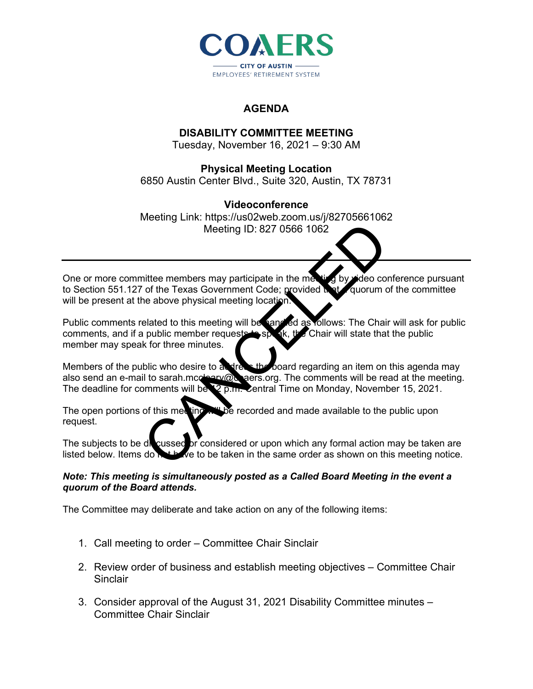

# **AGENDA**

## **DISABILITY COMMITTEE MEETING**

Tuesday, November 16, 2021 – 9:30 AM

# **Physical Meeting Location**

6850 Austin Center Blvd., Suite 320, Austin, TX 78731

### **Videoconference**

Meeting Link: https://us02web.zoom.us/j/82705661062 Meeting ID: 827 0566 1062

One or more committee members may participate in the meeting by video conference pursuant to Section 551.127 of the Texas Government Code; provided that quorum of the committee will be present at the above physical meeting location. Meeting ID: 827 0566 1062<br>
interemembers may participate in the metally by deo cor<br>
of the Texas Government Code; provided in the quorum of<br>
elated to this meeting will be samed as follows: The Chair<br>
public member request

Public comments related to this meeting will be handled as follows: The Chair will ask for public<br>comments, and if a public member requests to special, the Chair will state that the public comments, and if a public member requests member may speak for three minutes.

Members of the public who desire to address the board regarding an item on this agenda may also send an e-mail to sarah.mccleary@coaers.org. The comments will be read at the meeting. The deadline for comments will be 12 p.m. Central Time on Monday, November 15, 2021.

The open portions of this meeting will be recorded and made available to the public upon request.

The subjects to be discussed or considered or upon which any formal action may be taken are listed below. Items do  $\mathbb{R}^+$  we to be taken in the same order as shown on this meeting notice.  $\vec{a}$  ve to be taken in the same order as shown on this meeting notice.

#### *Note: This meeting is simultaneously posted as a Called Board Meeting in the event a quorum of the Board attends.*

The Committee may deliberate and take action on any of the following items:

- 1. Call meeting to order Committee Chair Sinclair
- 2. Review order of business and establish meeting objectives Committee Chair **Sinclair**
- 3. Consider approval of the August 31, 2021 Disability Committee minutes Committee Chair Sinclair